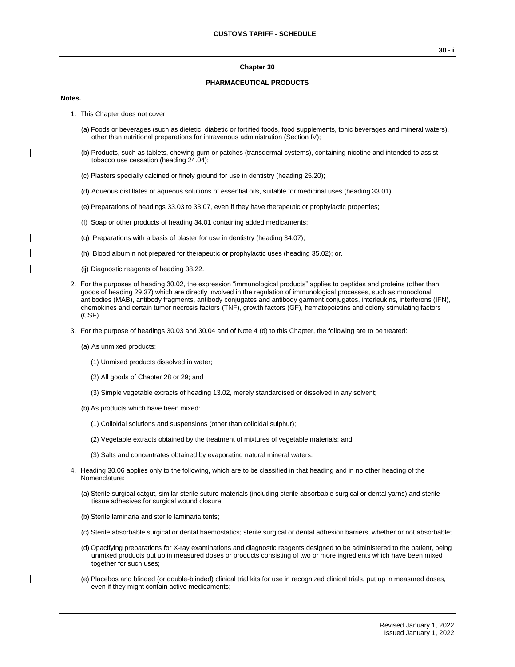#### **Chapter 30**

### **PHARMACEUTICAL PRODUCTS**

#### **Notes.**

- 1. This Chapter does not cover:
	- (a) Foods or beverages (such as dietetic, diabetic or fortified foods, food supplements, tonic beverages and mineral waters), other than nutritional preparations for intravenous administration (Section IV);
	- (b) Products, such as tablets, chewing gum or patches (transdermal systems), containing nicotine and intended to assist tobacco use cessation (heading 24.04);
	- (c) Plasters specially calcined or finely ground for use in dentistry (heading 25.20);
	- (d) Aqueous distillates or aqueous solutions of essential oils, suitable for medicinal uses (heading 33.01);
	- (e) Preparations of headings 33.03 to 33.07, even if they have therapeutic or prophylactic properties;
	- (f) Soap or other products of heading 34.01 containing added medicaments;
	- (g) Preparations with a basis of plaster for use in dentistry (heading 34.07);
	- (h) Blood albumin not prepared for therapeutic or prophylactic uses (heading 35.02); or.
	- (ij) Diagnostic reagents of heading 38.22.
- 2. For the purposes of heading 30.02, the expression "immunological products" applies to peptides and proteins (other than goods of heading 29.37) which are directly involved in the regulation of immunological processes, such as monoclonal antibodies (MAB), antibody fragments, antibody conjugates and antibody garment conjugates, interleukins, interferons (IFN), chemokines and certain tumor necrosis factors (TNF), growth factors (GF), hematopoietins and colony stimulating factors (CSF).
- 3. For the purpose of headings 30.03 and 30.04 and of Note 4 (d) to this Chapter, the following are to be treated:
	- (a) As unmixed products:
		- (1) Unmixed products dissolved in water;
		- (2) All goods of Chapter 28 or 29; and
		- (3) Simple vegetable extracts of heading 13.02, merely standardised or dissolved in any solvent;
	- (b) As products which have been mixed:
		- (1) Colloidal solutions and suspensions (other than colloidal sulphur);
		- (2) Vegetable extracts obtained by the treatment of mixtures of vegetable materials; and
		- (3) Salts and concentrates obtained by evaporating natural mineral waters.
- 4. Heading 30.06 applies only to the following, which are to be classified in that heading and in no other heading of the Nomenclature:
	- (a) Sterile surgical catgut, similar sterile suture materials (including sterile absorbable surgical or dental yarns) and sterile tissue adhesives for surgical wound closure;
	- (b) Sterile laminaria and sterile laminaria tents;
	- (c) Sterile absorbable surgical or dental haemostatics; sterile surgical or dental adhesion barriers, whether or not absorbable;
	- (d) Opacifying preparations for X-ray examinations and diagnostic reagents designed to be administered to the patient, being unmixed products put up in measured doses or products consisting of two or more ingredients which have been mixed together for such uses;
	- (e) Placebos and blinded (or double-blinded) clinical trial kits for use in recognized clinical trials, put up in measured doses, even if they might contain active medicaments;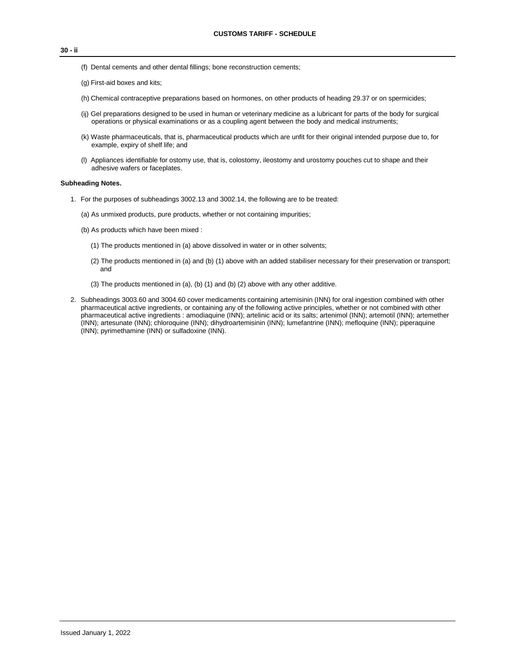**30 - ii**

- (f) Dental cements and other dental fillings; bone reconstruction cements;
- (g) First-aid boxes and kits;
- (h) Chemical contraceptive preparations based on hormones, on other products of heading 29.37 or on spermicides;
- (ij) Gel preparations designed to be used in human or veterinary medicine as a lubricant for parts of the body for surgical operations or physical examinations or as a coupling agent between the body and medical instruments;
- (k) Waste pharmaceuticals, that is, pharmaceutical products which are unfit for their original intended purpose due to, for example, expiry of shelf life; and
- (l) Appliances identifiable for ostomy use, that is, colostomy, ileostomy and urostomy pouches cut to shape and their adhesive wafers or faceplates.

#### **Subheading Notes.**

- 1. For the purposes of subheadings 3002.13 and 3002.14, the following are to be treated:
	- (a) As unmixed products, pure products, whether or not containing impurities;
	- (b) As products which have been mixed :
		- (1) The products mentioned in (a) above dissolved in water or in other solvents;
		- (2) The products mentioned in (a) and (b) (1) above with an added stabiliser necessary for their preservation or transport; and
		- (3) The products mentioned in (a), (b) (1) and (b) (2) above with any other additive.
- 2. Subheadings 3003.60 and 3004.60 cover medicaments containing artemisinin (INN) for oral ingestion combined with other pharmaceutical active ingredients, or containing any of the following active principles, whether or not combined with other pharmaceutical active ingredients : amodiaquine (INN); artelinic acid or its salts; artenimol (INN); artemotil (INN); artemether (INN); artesunate (INN); chloroquine (INN); dihydroartemisinin (INN); lumefantrine (INN); mefloquine (INN); piperaquine (INN); pyrimethamine (INN) or sulfadoxine (INN).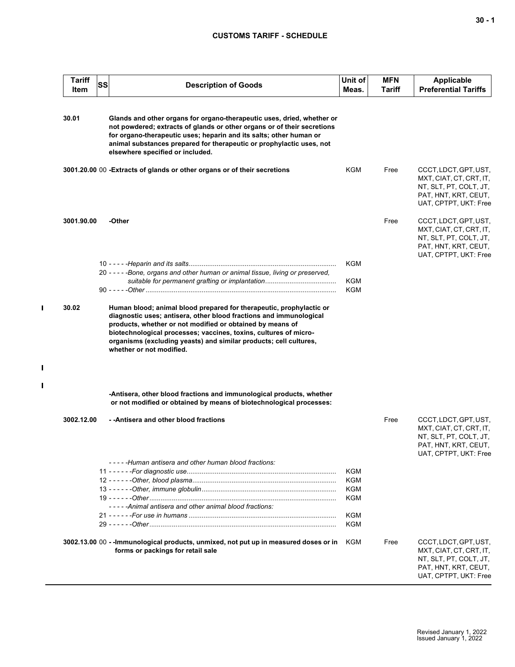## **CUSTOMS TARIFF - SCHEDULE**

| <b>Tariff</b><br>Item | SS | <b>Description of Goods</b>                                                                                                                                                                                                                                                                                                         | Unit of<br>Meas. | <b>MFN</b><br>Tariff | <b>Applicable</b><br><b>Preferential Tariffs</b>                                                                            |
|-----------------------|----|-------------------------------------------------------------------------------------------------------------------------------------------------------------------------------------------------------------------------------------------------------------------------------------------------------------------------------------|------------------|----------------------|-----------------------------------------------------------------------------------------------------------------------------|
| 30.01                 |    | Glands and other organs for organo-therapeutic uses, dried, whether or<br>not powdered; extracts of glands or other organs or of their secretions<br>for organo-therapeutic uses; heparin and its salts; other human or<br>animal substances prepared for therapeutic or prophylactic uses, not<br>elsewhere specified or included. |                  |                      |                                                                                                                             |
|                       |    | 3001.20.00 00 - Extracts of glands or other organs or of their secretions                                                                                                                                                                                                                                                           | KGM              | Free                 | CCCT, LDCT, GPT, UST,<br>MXT, CIAT, CT, CRT, IT,<br>NT, SLT, PT, COLT, JT,<br>PAT, HNT, KRT, CEUT,<br>UAT, CPTPT, UKT: Free |
| 3001.90.00            |    | -Other                                                                                                                                                                                                                                                                                                                              |                  | Free                 | CCCT, LDCT, GPT, UST,<br>MXT, CIAT, CT, CRT, IT,<br>NT, SLT, PT, COLT, JT,<br>PAT, HNT, KRT, CEUT,<br>UAT, CPTPT, UKT: Free |
|                       |    |                                                                                                                                                                                                                                                                                                                                     | KGM              |                      |                                                                                                                             |
|                       |    | 20 - - - - - Bone, organs and other human or animal tissue, living or preserved,                                                                                                                                                                                                                                                    | KGM              |                      |                                                                                                                             |
|                       |    |                                                                                                                                                                                                                                                                                                                                     | KGM              |                      |                                                                                                                             |
|                       |    | diagnostic uses; antisera, other blood fractions and immunological<br>products, whether or not modified or obtained by means of<br>biotechnological processes; vaccines, toxins, cultures of micro-<br>organisms (excluding yeasts) and similar products; cell cultures,<br>whether or not modified.                                |                  |                      |                                                                                                                             |
|                       |    | -Antisera, other blood fractions and immunological products, whether<br>or not modified or obtained by means of biotechnological processes:                                                                                                                                                                                         |                  |                      |                                                                                                                             |
| 3002.12.00            |    | - - Antisera and other blood fractions                                                                                                                                                                                                                                                                                              |                  | Free                 | CCCT, LDCT, GPT, UST,<br>MXT, CIAT, CT, CRT, IT,<br>NT, SLT, PT, COLT, JT,<br>PAT, HNT, KRT, CEUT,<br>UAT, CPTPT, UKT: Free |
|                       |    | -----Human antisera and other human blood fractions:                                                                                                                                                                                                                                                                                |                  |                      |                                                                                                                             |
|                       |    |                                                                                                                                                                                                                                                                                                                                     | KGM<br>KGM       |                      |                                                                                                                             |
|                       |    |                                                                                                                                                                                                                                                                                                                                     | KGM              |                      |                                                                                                                             |
|                       |    |                                                                                                                                                                                                                                                                                                                                     | KGM              |                      |                                                                                                                             |
|                       |    | -----Animal antisera and other animal blood fractions:                                                                                                                                                                                                                                                                              |                  |                      |                                                                                                                             |
|                       |    |                                                                                                                                                                                                                                                                                                                                     | KGM<br>KGM       |                      |                                                                                                                             |
|                       |    | 3002.13.00 00 - - Immunological products, unmixed, not put up in measured doses or in<br>forms or packings for retail sale                                                                                                                                                                                                          | KGM              | Free                 | CCCT, LDCT, GPT, UST,<br>MXT, CIAT, CT, CRT, IT,<br>NT, SLT, PT, COLT, JT,<br>PAT, HNT, KRT, CEUT,<br>UAT, CPTPT, UKT: Free |

 $\mathbf{I}$ 

 $\blacksquare$ 

 $\mathbf{I}$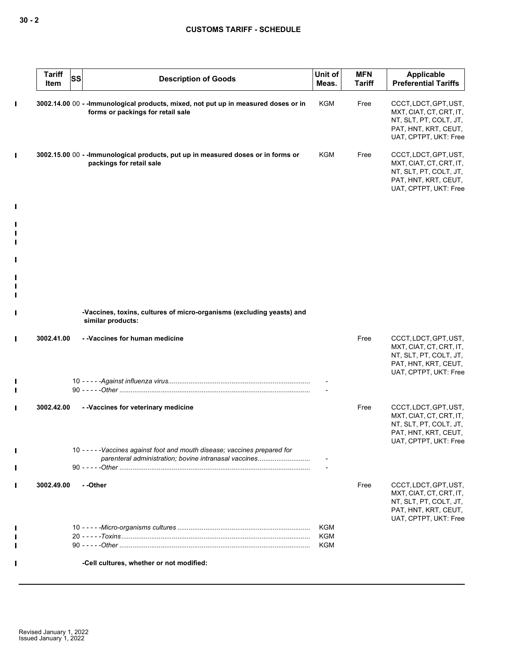| <b>Tariff</b><br><b>SS</b><br>Item | <b>Description of Goods</b>                                                                                                          | Unit of<br>Meas. | <b>MFN</b><br><b>Tariff</b> | Applicable<br><b>Preferential Tariffs</b>                                                                                   |
|------------------------------------|--------------------------------------------------------------------------------------------------------------------------------------|------------------|-----------------------------|-----------------------------------------------------------------------------------------------------------------------------|
|                                    | 3002.14.00 00 - - Immunological products, mixed, not put up in measured doses or in<br>forms or packings for retail sale             | <b>KGM</b>       | Free                        | CCCT, LDCT, GPT, UST,<br>MXT, CIAT, CT, CRT, IT,<br>NT, SLT, PT, COLT, JT,<br>PAT, HNT, KRT, CEUT,<br>UAT, CPTPT, UKT: Free |
|                                    | 3002.15.00 00 - - Immunological products, put up in measured doses or in forms or<br>packings for retail sale                        | KGM              | Free                        | CCCT, LDCT, GPT, UST,<br>MXT, CIAT, CT, CRT, IT,<br>NT, SLT, PT, COLT, JT,<br>PAT, HNT, KRT, CEUT,<br>UAT, CPTPT, UKT: Free |
|                                    |                                                                                                                                      |                  |                             |                                                                                                                             |
|                                    |                                                                                                                                      |                  |                             |                                                                                                                             |
|                                    |                                                                                                                                      |                  |                             |                                                                                                                             |
|                                    |                                                                                                                                      |                  |                             |                                                                                                                             |
|                                    | -Vaccines, toxins, cultures of micro-organisms (excluding yeasts) and<br>similar products:                                           |                  |                             |                                                                                                                             |
| 3002.41.00                         | - - Vaccines for human medicine                                                                                                      |                  | Free                        | CCCT, LDCT, GPT, UST,<br>MXT, CIAT, CT, CRT, IT,<br>NT, SLT, PT, COLT, JT,<br>PAT, HNT, KRT, CEUT,<br>UAT, CPTPT, UKT: Free |
|                                    |                                                                                                                                      |                  |                             |                                                                                                                             |
|                                    |                                                                                                                                      |                  |                             |                                                                                                                             |
| 3002.42.00                         | - - Vaccines for veterinary medicine                                                                                                 |                  | Free                        | CCCT, LDCT, GPT, UST,<br>MXT, CIAT, CT, CRT, IT,<br>NT, SLT, PT, COLT, JT,<br>PAT, HNT, KRT, CEUT,<br>UAT, CPTPT, UKT: Free |
|                                    | 10 - - - - - Vaccines against foot and mouth disease; vaccines prepared for<br>parenteral administration; bovine intranasal vaccines |                  |                             |                                                                                                                             |
|                                    |                                                                                                                                      |                  |                             |                                                                                                                             |
| 3002.49.00                         | --Other                                                                                                                              |                  | Free                        | CCCT, LDCT, GPT, UST,<br>MXT, CIAT, CT, CRT, IT,<br>NT, SLT, PT, COLT, JT,<br>PAT, HNT, KRT, CEUT,<br>UAT, CPTPT, UKT: Free |
|                                    |                                                                                                                                      | KGM<br>KGM       |                             |                                                                                                                             |
|                                    |                                                                                                                                      | KGM              |                             |                                                                                                                             |
|                                    | -Cell cultures, whether or not modified:                                                                                             |                  |                             |                                                                                                                             |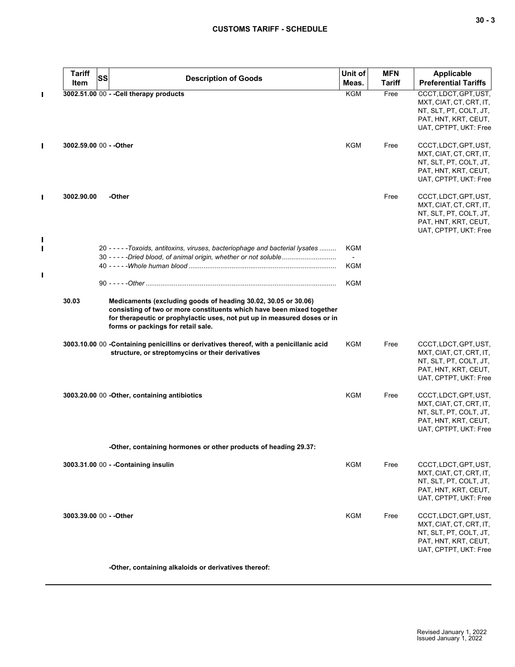| <b>Tariff</b><br>Item   | <b>SS</b> | <b>Description of Goods</b>                                                                                                                                                                                                                               | Unit of<br>Meas.                | <b>MFN</b><br><b>Tariff</b> | <b>Applicable</b><br><b>Preferential Tariffs</b>                                                                            |
|-------------------------|-----------|-----------------------------------------------------------------------------------------------------------------------------------------------------------------------------------------------------------------------------------------------------------|---------------------------------|-----------------------------|-----------------------------------------------------------------------------------------------------------------------------|
|                         |           | 3002.51.00 00 - - Cell therapy products                                                                                                                                                                                                                   | <b>KGM</b>                      | Free                        | CCCT, LDCT, GPT, UST,<br>MXT, CIAT, CT, CRT, IT,<br>NT, SLT, PT, COLT, JT,<br>PAT, HNT, KRT, CEUT,<br>UAT, CPTPT, UKT: Free |
| 3002.59.00 00 - - Other |           |                                                                                                                                                                                                                                                           | <b>KGM</b>                      | Free                        | CCCT, LDCT, GPT, UST,<br>MXT, CIAT, CT, CRT, IT,<br>NT, SLT, PT, COLT, JT,<br>PAT, HNT, KRT, CEUT,<br>UAT, CPTPT, UKT: Free |
| 3002.90.00              |           | -Other                                                                                                                                                                                                                                                    |                                 | Free                        | CCCT, LDCT, GPT, UST,<br>MXT, CIAT, CT, CRT, IT,<br>NT, SLT, PT, COLT, JT,<br>PAT, HNT, KRT, CEUT,<br>UAT, CPTPT, UKT: Free |
|                         |           | 20 - - - - - Toxoids, antitoxins, viruses, bacteriophage and bacterial lysates                                                                                                                                                                            | KGM                             |                             |                                                                                                                             |
|                         |           | 30 - - - - - Dried blood, of animal origin, whether or not soluble                                                                                                                                                                                        | $\overline{\phantom{a}}$<br>KGM |                             |                                                                                                                             |
|                         |           |                                                                                                                                                                                                                                                           |                                 |                             |                                                                                                                             |
|                         |           |                                                                                                                                                                                                                                                           | KGM                             |                             |                                                                                                                             |
| 30.03                   |           | Medicaments (excluding goods of heading 30.02, 30.05 or 30.06)<br>consisting of two or more constituents which have been mixed together<br>for therapeutic or prophylactic uses, not put up in measured doses or in<br>forms or packings for retail sale. |                                 |                             |                                                                                                                             |
|                         |           | 3003.10.00 00 - Containing penicillins or derivatives thereof, with a penicillanic acid<br>structure, or streptomycins or their derivatives                                                                                                               | KGM                             | Free                        | CCCT, LDCT, GPT, UST,<br>MXT, CIAT, CT, CRT, IT,<br>NT, SLT, PT, COLT, JT,<br>PAT, HNT, KRT, CEUT,<br>UAT, CPTPT, UKT: Free |
|                         |           | 3003.20.00 00 - Other, containing antibiotics                                                                                                                                                                                                             | <b>KGM</b>                      | Free                        | CCCT, LDCT, GPT, UST,<br>MXT, CIAT, CT, CRT, IT,<br>NT, SLT, PT, COLT, JT,<br>PAT, HNT, KRT, CEUT,<br>UAT, CPTPT, UKT: Free |
|                         |           | -Other, containing hormones or other products of heading 29.37:                                                                                                                                                                                           |                                 |                             |                                                                                                                             |
|                         |           | 3003.31.00 00 - - Containing insulin                                                                                                                                                                                                                      | KGM                             | Free                        | CCCT, LDCT, GPT, UST,<br>MXT, CIAT, CT, CRT, IT,<br>NT, SLT, PT, COLT, JT,<br>PAT, HNT, KRT, CEUT,<br>UAT, CPTPT, UKT: Free |
| 3003.39.00 00 - - Other |           |                                                                                                                                                                                                                                                           | KGM                             | Free                        | CCCT, LDCT, GPT, UST,<br>MXT, CIAT, CT, CRT, IT,<br>NT, SLT, PT, COLT, JT,<br>PAT, HNT, KRT, CEUT,<br>UAT, CPTPT, UKT: Free |
|                         |           | -Other, containing alkaloids or derivatives thereof:                                                                                                                                                                                                      |                                 |                             |                                                                                                                             |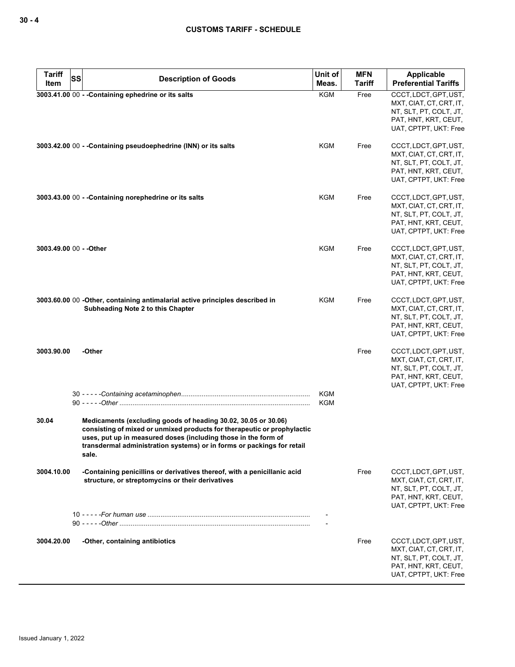| <b>Tariff</b><br><b>SS</b><br>Item | <b>Description of Goods</b>                                                                                                                                                                                                                                                                    | Unit of<br>Meas.  | <b>MFN</b><br><b>Tariff</b> | <b>Applicable</b><br><b>Preferential Tariffs</b>                                                                            |
|------------------------------------|------------------------------------------------------------------------------------------------------------------------------------------------------------------------------------------------------------------------------------------------------------------------------------------------|-------------------|-----------------------------|-----------------------------------------------------------------------------------------------------------------------------|
|                                    | 3003.41.00 00 - - Containing ephedrine or its salts                                                                                                                                                                                                                                            | <b>KGM</b>        | Free                        | CCCT, LDCT, GPT, UST,<br>MXT, CIAT, CT, CRT, IT,<br>NT, SLT, PT, COLT, JT,<br>PAT, HNT, KRT, CEUT,<br>UAT, CPTPT, UKT: Free |
|                                    | 3003.42.00 00 - - Containing pseudoephedrine (INN) or its salts                                                                                                                                                                                                                                | KGM               | Free                        | CCCT, LDCT, GPT, UST,<br>MXT, CIAT, CT, CRT, IT,<br>NT, SLT, PT, COLT, JT,<br>PAT, HNT, KRT, CEUT,<br>UAT, CPTPT, UKT: Free |
|                                    | 3003.43.00 00 - - Containing norephedrine or its salts                                                                                                                                                                                                                                         | KGM               | Free                        | CCCT, LDCT, GPT, UST,<br>MXT, CIAT, CT, CRT, IT,<br>NT, SLT, PT, COLT, JT,<br>PAT, HNT, KRT, CEUT,<br>UAT, CPTPT, UKT: Free |
| 3003.49.00 00 - - Other            |                                                                                                                                                                                                                                                                                                | <b>KGM</b>        | Free                        | CCCT, LDCT, GPT, UST,<br>MXT, CIAT, CT, CRT, IT,<br>NT, SLT, PT, COLT, JT,<br>PAT, HNT, KRT, CEUT,<br>UAT, CPTPT, UKT: Free |
|                                    | 3003.60.00 00 -Other, containing antimalarial active principles described in<br>Subheading Note 2 to this Chapter                                                                                                                                                                              | KGM               | Free                        | CCCT, LDCT, GPT, UST,<br>MXT, CIAT, CT, CRT, IT,<br>NT, SLT, PT, COLT, JT,<br>PAT, HNT, KRT, CEUT,<br>UAT, CPTPT, UKT: Free |
| 3003.90.00                         | -Other                                                                                                                                                                                                                                                                                         |                   | Free                        | CCCT, LDCT, GPT, UST,<br>MXT, CIAT, CT, CRT, IT,<br>NT, SLT, PT, COLT, JT,<br>PAT, HNT, KRT, CEUT,<br>UAT, CPTPT, UKT: Free |
|                                    |                                                                                                                                                                                                                                                                                                | <b>KGM</b><br>KGM |                             |                                                                                                                             |
| 30.04                              | Medicaments (excluding goods of heading 30.02, 30.05 or 30.06)<br>consisting of mixed or unmixed products for therapeutic or prophylactic<br>uses, put up in measured doses (including those in the form of<br>transdermal administration systems) or in forms or packings for retail<br>sale. |                   |                             |                                                                                                                             |
| 3004.10.00                         | -Containing penicillins or derivatives thereof, with a penicillanic acid<br>structure, or streptomycins or their derivatives                                                                                                                                                                   |                   | Free                        | CCCT, LDCT, GPT, UST,<br>MXT, CIAT, CT, CRT, IT,<br>NT, SLT, PT, COLT, JT,<br>PAT, HNT, KRT, CEUT,<br>UAT, CPTPT, UKT: Free |
|                                    |                                                                                                                                                                                                                                                                                                |                   |                             |                                                                                                                             |
| 3004.20.00                         | -Other, containing antibiotics                                                                                                                                                                                                                                                                 |                   | Free                        | CCCT, LDCT, GPT, UST,<br>MXT, CIAT, CT, CRT, IT,<br>NT, SLT, PT, COLT, JT,<br>PAT, HNT, KRT, CEUT,<br>UAT, CPTPT, UKT: Free |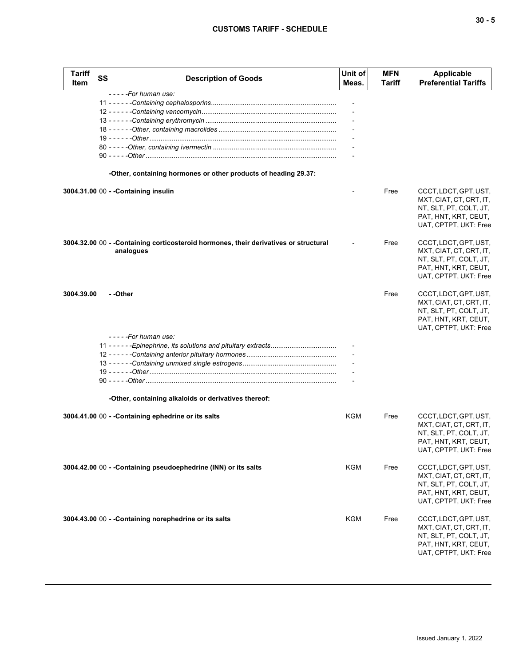# **CUSTOMS TARIFF - SCHEDULE**

| <b>Tariff</b><br><b>Item</b> | <b>SS</b> | <b>Description of Goods</b>                                                                        | Unit of<br>Meas. | <b>MFN</b><br>Tariff | Applicable<br><b>Preferential Tariffs</b>                                                                                   |
|------------------------------|-----------|----------------------------------------------------------------------------------------------------|------------------|----------------------|-----------------------------------------------------------------------------------------------------------------------------|
|                              |           | -----For human use:                                                                                |                  |                      |                                                                                                                             |
|                              |           |                                                                                                    |                  |                      |                                                                                                                             |
|                              |           |                                                                                                    |                  |                      |                                                                                                                             |
|                              |           |                                                                                                    |                  |                      |                                                                                                                             |
|                              |           |                                                                                                    |                  |                      |                                                                                                                             |
|                              |           |                                                                                                    |                  |                      |                                                                                                                             |
|                              |           |                                                                                                    |                  |                      |                                                                                                                             |
|                              |           | -Other, containing hormones or other products of heading 29.37:                                    |                  |                      |                                                                                                                             |
|                              |           |                                                                                                    |                  |                      |                                                                                                                             |
|                              |           | 3004.31.00 00 - - Containing insulin                                                               |                  | Free                 | CCCT, LDCT, GPT, UST,<br>MXT, CIAT, CT, CRT, IT,<br>NT, SLT, PT, COLT, JT,<br>PAT, HNT, KRT, CEUT,<br>UAT, CPTPT, UKT: Free |
|                              |           | 3004.32.00 00 - - Containing corticosteroid hormones, their derivatives or structural<br>analogues |                  | Free                 | CCCT, LDCT, GPT, UST,<br>MXT, CIAT, CT, CRT, IT,<br>NT, SLT, PT, COLT, JT,<br>PAT, HNT, KRT, CEUT,<br>UAT, CPTPT, UKT: Free |
| 3004.39.00                   |           | - -Other                                                                                           |                  | Free                 | CCCT, LDCT, GPT, UST,<br>MXT, CIAT, CT, CRT, IT,<br>NT, SLT, PT, COLT, JT,<br>PAT, HNT, KRT, CEUT,<br>UAT, CPTPT, UKT: Free |
|                              |           | -----For human use:                                                                                |                  |                      |                                                                                                                             |
|                              |           | 11 - - - - - - Epinephrine, its solutions and pituitary extracts                                   |                  |                      |                                                                                                                             |
|                              |           |                                                                                                    |                  |                      |                                                                                                                             |
|                              |           |                                                                                                    |                  |                      |                                                                                                                             |
|                              |           |                                                                                                    |                  |                      |                                                                                                                             |
|                              |           |                                                                                                    |                  |                      |                                                                                                                             |
|                              |           | -Other, containing alkaloids or derivatives thereof:                                               |                  |                      |                                                                                                                             |
|                              |           | 3004.41.00 00 - - Containing ephedrine or its salts                                                | KGM              | Free                 | CCCT, LDCT, GPT, UST,<br>MXT, CIAT, CT, CRT, IT,<br>NT, SLT, PT, COLT, JT,<br>PAT, HNT, KRT, CEUT,<br>UAT, CPTPT, UKT: Free |
|                              |           | 3004.42.00 00 - - Containing pseudoephedrine (INN) or its salts                                    | KGM              | Free                 | CCCT, LDCT, GPT, UST,<br>MXT, CIAT, CT, CRT, IT,<br>NT, SLT, PT, COLT, JT,<br>PAT, HNT, KRT, CEUT,<br>UAT, CPTPT, UKT: Free |
|                              |           | 3004.43.00 00 - - Containing norephedrine or its salts                                             | <b>KGM</b>       | Free                 | CCCT, LDCT, GPT, UST,<br>MXT, CIAT, CT, CRT, IT,<br>NT, SLT, PT, COLT, JT,<br>PAT, HNT, KRT, CEUT,<br>UAT, CPTPT, UKT: Free |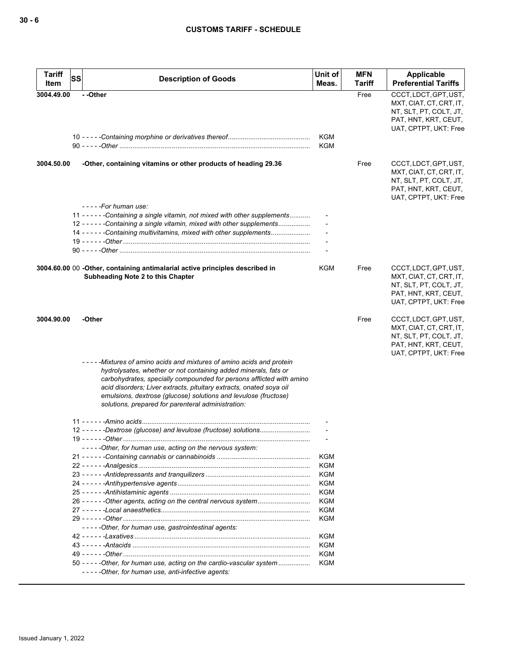| <b>Tariff</b><br><b>SS</b><br>Item | <b>Description of Goods</b>                                                                                                                                                                                                                                                                                                                                                                                     | Unit of<br>Meas.         | <b>MFN</b><br>Tariff | Applicable<br><b>Preferential Tariffs</b>                                                                                   |
|------------------------------------|-----------------------------------------------------------------------------------------------------------------------------------------------------------------------------------------------------------------------------------------------------------------------------------------------------------------------------------------------------------------------------------------------------------------|--------------------------|----------------------|-----------------------------------------------------------------------------------------------------------------------------|
| 3004.49.00                         | --Other                                                                                                                                                                                                                                                                                                                                                                                                         |                          | Free                 | CCCT, LDCT, GPT, UST,<br>MXT, CIAT, CT, CRT, IT,<br>NT, SLT, PT, COLT, JT,<br>PAT, HNT, KRT, CEUT,<br>UAT, CPTPT, UKT: Free |
|                                    |                                                                                                                                                                                                                                                                                                                                                                                                                 | <b>KGM</b><br><b>KGM</b> |                      |                                                                                                                             |
| 3004.50.00                         | -Other, containing vitamins or other products of heading 29.36                                                                                                                                                                                                                                                                                                                                                  |                          | Free                 | CCCT, LDCT, GPT, UST,<br>MXT, CIAT, CT, CRT, IT,<br>NT, SLT, PT, COLT, JT,<br>PAT, HNT, KRT, CEUT,<br>UAT, CPTPT, UKT: Free |
|                                    | -----For human use:                                                                                                                                                                                                                                                                                                                                                                                             |                          |                      |                                                                                                                             |
|                                    | 11 - - - - - - Containing a single vitamin, not mixed with other supplements<br>12 - - - - - - Containing a single vitamin, mixed with other supplements                                                                                                                                                                                                                                                        |                          |                      |                                                                                                                             |
|                                    | 14 - - - - - - Containing multivitamins, mixed with other supplements                                                                                                                                                                                                                                                                                                                                           |                          |                      |                                                                                                                             |
|                                    |                                                                                                                                                                                                                                                                                                                                                                                                                 |                          |                      |                                                                                                                             |
|                                    |                                                                                                                                                                                                                                                                                                                                                                                                                 |                          |                      |                                                                                                                             |
|                                    | 3004.60.00 00 -Other, containing antimalarial active principles described in<br>Subheading Note 2 to this Chapter                                                                                                                                                                                                                                                                                               | <b>KGM</b>               | Free                 | CCCT, LDCT, GPT, UST,<br>MXT, CIAT, CT, CRT, IT,<br>NT, SLT, PT, COLT, JT,<br>PAT, HNT, KRT, CEUT,<br>UAT, CPTPT, UKT: Free |
| 3004.90.00                         | -Other                                                                                                                                                                                                                                                                                                                                                                                                          |                          | Free                 | CCCT, LDCT, GPT, UST,<br>MXT, CIAT, CT, CRT, IT,<br>NT, SLT, PT, COLT, JT,<br>PAT, HNT, KRT, CEUT,<br>UAT, CPTPT, UKT: Free |
|                                    | -----Mixtures of amino acids and mixtures of amino acids and protein<br>hydrolysates, whether or not containing added minerals, fats or<br>carbohydrates, specially compounded for persons afflicted with amino<br>acid disorders; Liver extracts, pituitary extracts, onated soya oil<br>emulsions, dextrose (glucose) solutions and levulose (fructose)<br>solutions, prepared for parenteral administration: |                          |                      |                                                                                                                             |
|                                    |                                                                                                                                                                                                                                                                                                                                                                                                                 |                          |                      |                                                                                                                             |
|                                    | 12 - - - - - - Dextrose (glucose) and levulose (fructose) solutions                                                                                                                                                                                                                                                                                                                                             |                          |                      |                                                                                                                             |
|                                    |                                                                                                                                                                                                                                                                                                                                                                                                                 |                          |                      |                                                                                                                             |
|                                    | -----Other, for human use, acting on the nervous system:                                                                                                                                                                                                                                                                                                                                                        |                          |                      |                                                                                                                             |
|                                    |                                                                                                                                                                                                                                                                                                                                                                                                                 | KGM                      |                      |                                                                                                                             |
|                                    |                                                                                                                                                                                                                                                                                                                                                                                                                 | KGM                      |                      |                                                                                                                             |
|                                    |                                                                                                                                                                                                                                                                                                                                                                                                                 | KGM                      |                      |                                                                                                                             |
|                                    |                                                                                                                                                                                                                                                                                                                                                                                                                 | <b>KGM</b>               |                      |                                                                                                                             |
|                                    |                                                                                                                                                                                                                                                                                                                                                                                                                 | KGM                      |                      |                                                                                                                             |
|                                    | 26 - - - - - - Other agents, acting on the central nervous system                                                                                                                                                                                                                                                                                                                                               | KGM                      |                      |                                                                                                                             |
|                                    |                                                                                                                                                                                                                                                                                                                                                                                                                 | <b>KGM</b>               |                      |                                                                                                                             |
|                                    |                                                                                                                                                                                                                                                                                                                                                                                                                 | <b>KGM</b>               |                      |                                                                                                                             |
|                                    | -----Other, for human use, gastrointestinal agents:                                                                                                                                                                                                                                                                                                                                                             |                          |                      |                                                                                                                             |
|                                    |                                                                                                                                                                                                                                                                                                                                                                                                                 | KGM                      |                      |                                                                                                                             |
|                                    |                                                                                                                                                                                                                                                                                                                                                                                                                 | KGM                      |                      |                                                                                                                             |
|                                    |                                                                                                                                                                                                                                                                                                                                                                                                                 | <b>KGM</b>               |                      |                                                                                                                             |
|                                    | 50 - - - - - Other, for human use, acting on the cardio-vascular system<br>-----Other, for human use, anti-infective agents:                                                                                                                                                                                                                                                                                    | KGM                      |                      |                                                                                                                             |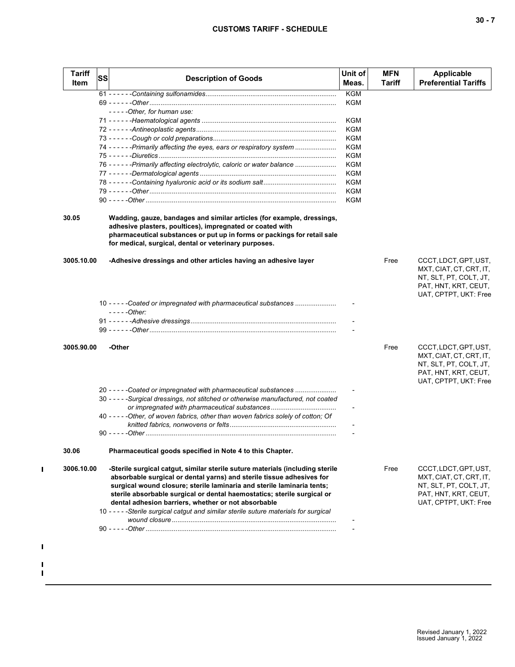## **CUSTOMS TARIFF - SCHEDULE**

| <b>Tariff</b><br>Item | <b>SS</b> | <b>Description of Goods</b>                                                                                                                                                                                                                                                                                                                                        | Unit of<br>Meas. | <b>MFN</b><br>Tariff | <b>Applicable</b><br><b>Preferential Tariffs</b>                                                                            |
|-----------------------|-----------|--------------------------------------------------------------------------------------------------------------------------------------------------------------------------------------------------------------------------------------------------------------------------------------------------------------------------------------------------------------------|------------------|----------------------|-----------------------------------------------------------------------------------------------------------------------------|
|                       |           |                                                                                                                                                                                                                                                                                                                                                                    | <b>KGM</b>       |                      |                                                                                                                             |
|                       |           |                                                                                                                                                                                                                                                                                                                                                                    | KGM              |                      |                                                                                                                             |
|                       |           | -----Other, for human use:                                                                                                                                                                                                                                                                                                                                         |                  |                      |                                                                                                                             |
|                       |           |                                                                                                                                                                                                                                                                                                                                                                    | KGM              |                      |                                                                                                                             |
|                       |           |                                                                                                                                                                                                                                                                                                                                                                    | KGM              |                      |                                                                                                                             |
|                       |           |                                                                                                                                                                                                                                                                                                                                                                    | KGM              |                      |                                                                                                                             |
|                       |           | 74 - - - - - - Primarily affecting the eyes, ears or respiratory system                                                                                                                                                                                                                                                                                            | KGM              |                      |                                                                                                                             |
|                       |           | 76 - - - - - - Primarily affecting electrolytic, caloric or water balance                                                                                                                                                                                                                                                                                          | KGM<br>KGM       |                      |                                                                                                                             |
|                       |           |                                                                                                                                                                                                                                                                                                                                                                    | KGM              |                      |                                                                                                                             |
|                       |           |                                                                                                                                                                                                                                                                                                                                                                    | KGM              |                      |                                                                                                                             |
|                       |           |                                                                                                                                                                                                                                                                                                                                                                    | KGM              |                      |                                                                                                                             |
|                       |           |                                                                                                                                                                                                                                                                                                                                                                    | KGM              |                      |                                                                                                                             |
| 30.05                 |           | Wadding, gauze, bandages and similar articles (for example, dressings,<br>adhesive plasters, poultices), impregnated or coated with<br>pharmaceutical substances or put up in forms or packings for retail sale<br>for medical, surgical, dental or veterinary purposes.                                                                                           |                  |                      |                                                                                                                             |
| 3005.10.00            |           | -Adhesive dressings and other articles having an adhesive layer                                                                                                                                                                                                                                                                                                    |                  | Free                 | CCCT, LDCT, GPT, UST,<br>MXT, CIAT, CT, CRT, IT,<br>NT, SLT, PT, COLT, JT,<br>PAT, HNT, KRT, CEUT,<br>UAT, CPTPT, UKT: Free |
|                       |           | 10 - - - - - Coated or impregnated with pharmaceutical substances                                                                                                                                                                                                                                                                                                  |                  |                      |                                                                                                                             |
|                       |           | - - - - - Other:                                                                                                                                                                                                                                                                                                                                                   |                  |                      |                                                                                                                             |
|                       |           |                                                                                                                                                                                                                                                                                                                                                                    |                  |                      |                                                                                                                             |
| 3005.90.00            |           | -Other                                                                                                                                                                                                                                                                                                                                                             |                  | Free                 | CCCT, LDCT, GPT, UST,<br>MXT, CIAT, CT, CRT, IT,<br>NT, SLT, PT, COLT, JT,<br>PAT, HNT, KRT, CEUT,                          |
|                       |           |                                                                                                                                                                                                                                                                                                                                                                    |                  |                      | UAT, CPTPT, UKT: Free                                                                                                       |
|                       |           | 20 - - - - - Coated or impregnated with pharmaceutical substances                                                                                                                                                                                                                                                                                                  |                  |                      |                                                                                                                             |
|                       |           | 30 - - - - - Surgical dressings, not stitched or otherwise manufactured, not coated                                                                                                                                                                                                                                                                                |                  |                      |                                                                                                                             |
|                       |           | or impregnated with pharmaceutical substances<br>40 - - - - - Other, of woven fabrics, other than woven fabrics solely of cotton; Of                                                                                                                                                                                                                               |                  |                      |                                                                                                                             |
|                       |           |                                                                                                                                                                                                                                                                                                                                                                    |                  |                      |                                                                                                                             |
|                       |           |                                                                                                                                                                                                                                                                                                                                                                    |                  |                      |                                                                                                                             |
| 30.06                 |           | Pharmaceutical goods specified in Note 4 to this Chapter.                                                                                                                                                                                                                                                                                                          |                  |                      |                                                                                                                             |
| 3006.10.00            |           | -Sterile surgical catgut, similar sterile suture materials (including sterile<br>absorbable surgical or dental yarns) and sterile tissue adhesives for<br>surgical wound closure; sterile laminaria and sterile laminaria tents;<br>sterile absorbable surgical or dental haemostatics; sterile surgical or<br>dental adhesion barriers, whether or not absorbable |                  | Free                 | CCCT, LDCT, GPT, UST,<br>MXT, CIAT, CT, CRT, IT,<br>NT, SLT, PT, COLT, JT,<br>PAT, HNT, KRT, CEUT,<br>UAT, CPTPT, UKT: Free |
|                       |           | 10 - - - - - Sterile surgical catgut and similar sterile suture materials for surgical                                                                                                                                                                                                                                                                             |                  |                      |                                                                                                                             |
|                       |           |                                                                                                                                                                                                                                                                                                                                                                    |                  |                      |                                                                                                                             |

 $\mathbf{I}$ 

 $\blacksquare$ 

 $\blacksquare$  $\blacksquare$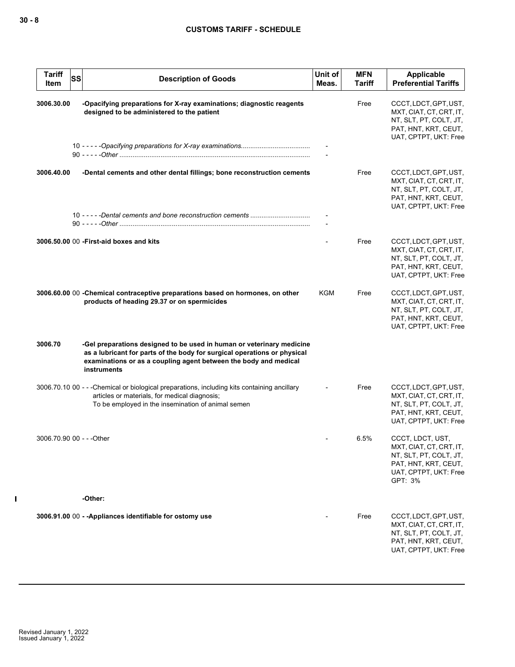| <b>Tariff</b><br><b>SS</b><br>Item | <b>Description of Goods</b>                                                                                                                                                                                                          | Unit of<br>Meas. | <b>MFN</b><br>Tariff | <b>Applicable</b><br><b>Preferential Tariffs</b>                                                                                  |
|------------------------------------|--------------------------------------------------------------------------------------------------------------------------------------------------------------------------------------------------------------------------------------|------------------|----------------------|-----------------------------------------------------------------------------------------------------------------------------------|
| 3006.30.00                         | -Opacifying preparations for X-ray examinations; diagnostic reagents<br>designed to be administered to the patient                                                                                                                   |                  | Free                 | CCCT, LDCT, GPT, UST,<br>MXT, CIAT, CT, CRT, IT,<br>NT, SLT, PT, COLT, JT,<br>PAT, HNT, KRT, CEUT,<br>UAT, CPTPT, UKT: Free       |
|                                    |                                                                                                                                                                                                                                      |                  |                      |                                                                                                                                   |
| 3006.40.00                         | -Dental cements and other dental fillings; bone reconstruction cements                                                                                                                                                               |                  | Free                 | CCCT, LDCT, GPT, UST,<br>MXT, CIAT, CT, CRT, IT,<br>NT, SLT, PT, COLT, JT,<br>PAT, HNT, KRT, CEUT,<br>UAT, CPTPT, UKT: Free       |
|                                    |                                                                                                                                                                                                                                      |                  |                      |                                                                                                                                   |
|                                    | 3006.50.00 00 - First-aid boxes and kits                                                                                                                                                                                             |                  | Free                 | CCCT, LDCT, GPT, UST,<br>MXT, CIAT, CT, CRT, IT,<br>NT, SLT, PT, COLT, JT,<br>PAT, HNT, KRT, CEUT,<br>UAT, CPTPT, UKT: Free       |
|                                    | 3006.60.00 00 - Chemical contraceptive preparations based on hormones, on other<br>products of heading 29.37 or on spermicides                                                                                                       | KGM              | Free                 | CCCT, LDCT, GPT, UST,<br>MXT, CIAT, CT, CRT, IT,<br>NT, SLT, PT, COLT, JT,<br>PAT, HNT, KRT, CEUT,<br>UAT, CPTPT, UKT: Free       |
| 3006.70                            | -Gel preparations designed to be used in human or veterinary medicine<br>as a lubricant for parts of the body for surgical operations or physical<br>examinations or as a coupling agent between the body and medical<br>instruments |                  |                      |                                                                                                                                   |
|                                    | 3006.70.10 00 - - - Chemical or biological preparations, including kits containing ancillary<br>articles or materials, for medical diagnosis;<br>To be employed in the insemination of animal semen                                  |                  | Free                 | CCCT, LDCT, GPT, UST,<br>MXT, CIAT, CT, CRT, IT,<br>NT, SLT, PT, COLT, JT,<br>PAT, HNT, KRT, CEUT,<br>UAT, CPTPT, UKT: Free       |
| 3006.70.90  00 - - -Other          |                                                                                                                                                                                                                                      |                  | 6.5%                 | CCCT, LDCT, UST,<br>MXT, CIAT, CT, CRT, IT,<br>NT, SLT, PT, COLT, JT,<br>PAT, HNT, KRT, CEUT,<br>UAT, CPTPT, UKT: Free<br>GPT: 3% |
|                                    | -Other:                                                                                                                                                                                                                              |                  |                      |                                                                                                                                   |
|                                    | 3006.91.00 00 - - Appliances identifiable for ostomy use                                                                                                                                                                             |                  | Free                 | CCCT, LDCT, GPT, UST,<br>MXT, CIAT, CT, CRT, IT,<br>NT, SLT, PT, COLT, JT,<br>PAT, HNT, KRT, CEUT,<br>UAT, CPTPT, UKT: Free       |

 $\mathbf I$